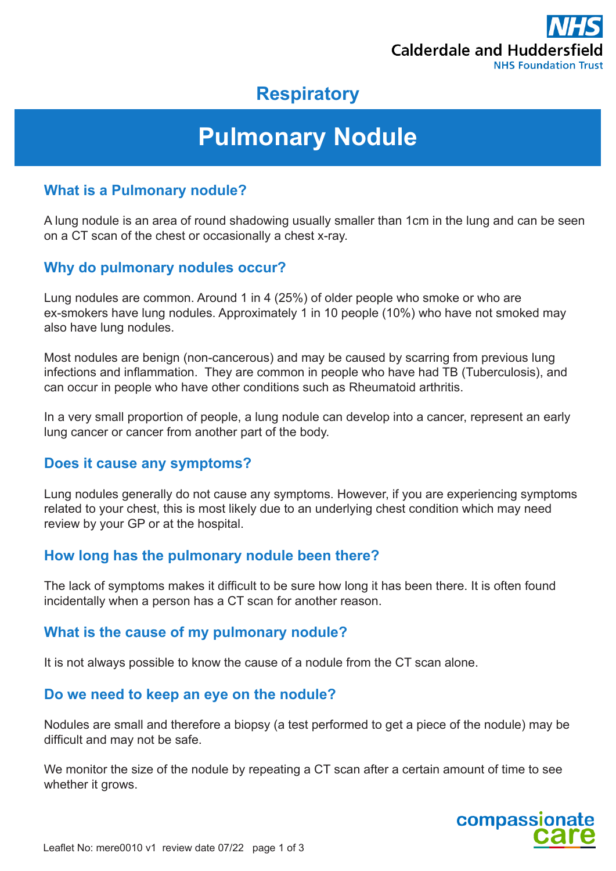

# **Respiratory**

# **Pulmonary Nodule**

# **What is a Pulmonary nodule?**

A lung nodule is an area of round shadowing usually smaller than 1cm in the lung and can be seen on a CT scan of the chest or occasionally a chest x-ray.

# **Why do pulmonary nodules occur?**

Lung nodules are common. Around 1 in 4 (25%) of older people who smoke or who are ex-smokers have lung nodules. Approximately 1 in 10 people (10%) who have not smoked may also have lung nodules.

Most nodules are benign (non-cancerous) and may be caused by scarring from previous lung infections and inflammation. They are common in people who have had TB (Tuberculosis), and can occur in people who have other conditions such as Rheumatoid arthritis.

In a very small proportion of people, a lung nodule can develop into a cancer, represent an early lung cancer or cancer from another part of the body.

# **Does it cause any symptoms?**

Lung nodules generally do not cause any symptoms. However, if you are experiencing symptoms related to your chest, this is most likely due to an underlying chest condition which may need review by your GP or at the hospital.

# **How long has the pulmonary nodule been there?**

The lack of symptoms makes it difficult to be sure how long it has been there. It is often found incidentally when a person has a CT scan for another reason.

# **What is the cause of my pulmonary nodule?**

It is not always possible to know the cause of a nodule from the CT scan alone.

#### **Do we need to keep an eye on the nodule?**

Nodules are small and therefore a biopsy (a test performed to get a piece of the nodule) may be difficult and may not be safe.

We monitor the size of the nodule by repeating a CT scan after a certain amount of time to see whether it grows.

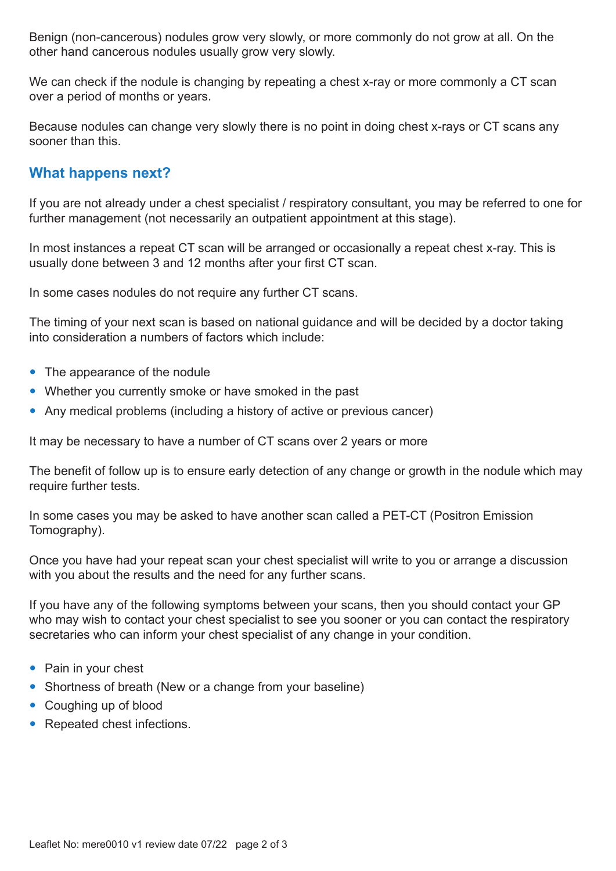Benign (non-cancerous) nodules grow very slowly, or more commonly do not grow at all. On the other hand cancerous nodules usually grow very slowly.

We can check if the nodule is changing by repeating a chest x-ray or more commonly a CT scan over a period of months or years.

Because nodules can change very slowly there is no point in doing chest x-rays or CT scans any sooner than this.

# **What happens next?**

If you are not already under a chest specialist / respiratory consultant, you may be referred to one for further management (not necessarily an outpatient appointment at this stage).

In most instances a repeat CT scan will be arranged or occasionally a repeat chest x-ray. This is usually done between 3 and 12 months after your first CT scan.

In some cases nodules do not require any further CT scans.

The timing of your next scan is based on national guidance and will be decided by a doctor taking into consideration a numbers of factors which include:

- The appearance of the nodule
- Whether you currently smoke or have smoked in the past
- Any medical problems (including a history of active or previous cancer)

It may be necessary to have a number of CT scans over 2 years or more

The benefit of follow up is to ensure early detection of any change or growth in the nodule which may require further tests.

In some cases you may be asked to have another scan called a PET-CT (Positron Emission Tomography).

Once you have had your repeat scan your chest specialist will write to you or arrange a discussion with you about the results and the need for any further scans.

If you have any of the following symptoms between your scans, then you should contact your GP who may wish to contact your chest specialist to see you sooner or you can contact the respiratory secretaries who can inform your chest specialist of any change in your condition.

- Pain in your chest
- Shortness of breath (New or a change from your baseline)
- Coughing up of blood
- Repeated chest infections.